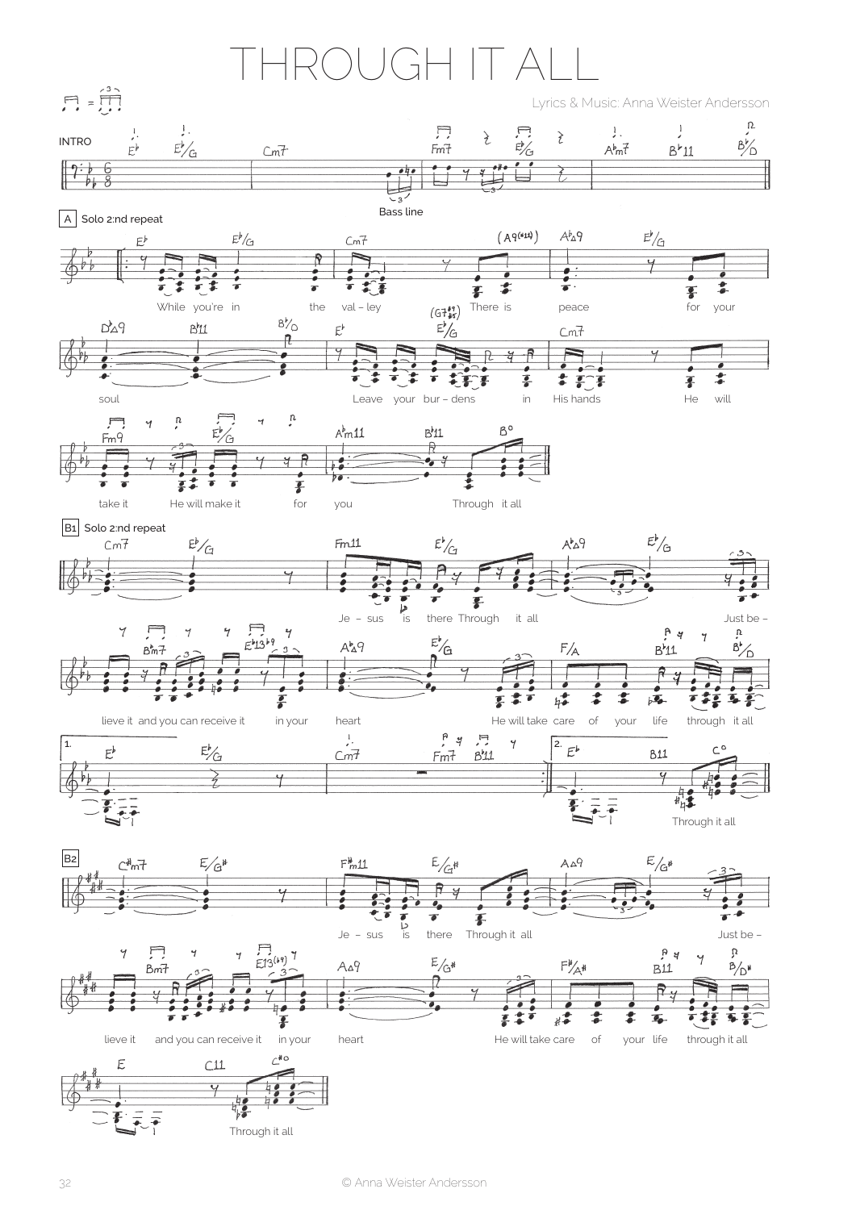